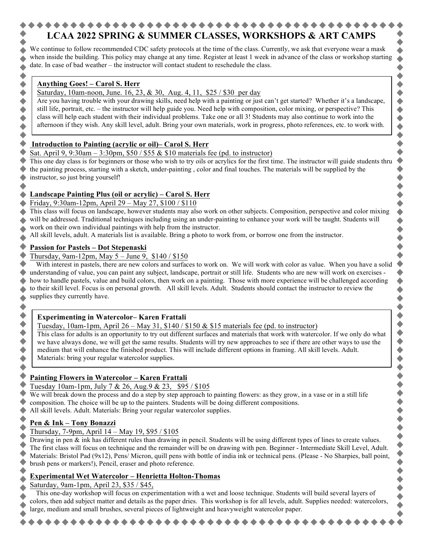# **LCAA 2022 SPRING & SUMMER CLASSES, WORKSHOPS & ART CAMPS**

We continue to follow recommended CDC safety protocols at the time of the class. Currently, we ask that everyone wear a mask when inside the building. This policy may change at any time. Register at least 1 week in advance of the class or workshop starting date. In case of bad weather – the instructor will contact student to reschedule the class.

#### **Anything Goes! – Carol S. Herr**

Saturday, 10am-noon, June. 16, 23, & 30, Aug. 4, 11, \$25 / \$30 per day

Are you having trouble with your drawing skills, need help with a painting or just can't get started? Whether it's a landscape, still life, portrait, etc. – the instructor will help guide you. Need help with composition, color mixing, or perspective? This class will help each student with their individual problems. Take one or all 3! Students may also continue to work into the afternoon if they wish. Any skill level, adult. Bring your own materials, work in progress, photo references, etc. to work with.

# **Introduction to Painting (acrylic or oil)– Carol S. Herr**

Sat. April 9, 9:30am – 3:30pm, \$50 / \$55  $&$  \$10 materials fee (pd. to instructor)

This one day class is for beginners or those who wish to try oils or acrylics for the first time. The instructor will guide students thru the painting process, starting with a sketch, under-painting , color and final touches. The materials will be supplied by the instructor, so just bring yourself!

# **Landscape Painting Plus (oil or acrylic) – Carol S. Herr**

### Friday, 9:30am-12pm, April 29 – May 27, \$100 / \$110

This class will focus on landscape, however students may also work on other subjects. Composition, perspective and color mixing will be addressed. Traditional techniques including using an under-painting to enhance your work will be taught. Students will work on their own individual paintings with help from the instructor.

All skill levels, adult. A materials list is available. Bring a photo to work from, or borrow one from the instructor.

### **Passion for Pastels – Dot Stepenaski**

Thursday, 9am-12pm, May  $5 -$  June 9, \$140 / \$150

With interest in pastels, there are new colors and surfaces to work on. We will work with color as value. When you have a solid understanding of value, you can paint any subject, landscape, portrait or still life. Students who are new will work on exercises how to handle pastels, value and build colors, then work on a painting. Those with more experience will be challenged according to their skill level. Focus is on personal growth. All skill levels. Adult. Students should contact the instructor to review the supplies they currently have.  $\blacklozenge$ 

 $\blacklozenge$ 

♦  $\blacklozenge$ 

4

 $\blacklozenge$ 

# **Experimenting in Watercolor– Karen Frattali**

Tuesday, 10am-1pm, April 26 – May 31, \$140 / \$150  $\&$  \$15 materials fee (pd. to instructor)

This class for adults is an opportunity to try out different surfaces and materials that work with watercolor. If we only do what we have always done, we will get the same results. Students will try new approaches to see if there are other ways to use the medium that will enhance the finished product. This will include different options in framing. All skill levels. Adult. Materials: bring your regular watercolor supplies.

# **Painting Flowers in Watercolor – Karen Frattali**

Tuesday 10am-1pm, July 7 & 26, Aug.9 & 23, \$95 / \$105

We will break down the process and do a step by step approach to painting flowers: as they grow, in a vase or in a still life composition. The choice will be up to the painters. Students will be doing different compositions.

All skill levels. Adult. Materials: Bring your regular watercolor supplies.

# **Pen & Ink – Tony Bonazzi**

# Thursday, 7-9pm, April 14 – May 19, \$95 / \$105

Drawing in pen & ink has different rules than drawing in pencil. Students will be using different types of lines to create values. The first class will focus on technique and the remainder will be on drawing with pen. Beginner - Intermediate Skill Level, Adult. Materials: Bristol Pad (9x12), Pens/ Micron, quill pens with bottle of india ink or technical pens. (Please - No Sharpies, ball point, brush pens or markers!), Pencil, eraser and photo reference.

# **Experimental Wet Watercolor – Henrietta Holton-Thomas**

Saturday, 9am-1pm, April 23, \$35 / \$45,

This one-day workshop will focus on experimentation with a wet and loose technique. Students will build several layers of colors, then add subject matter and details as the paper dries. This workshop is for all levels, adult. Supplies needed: watercolors, large, medium and small brushes, several pieces of lightweight and heavyweight watercolor paper.

 $\bullet$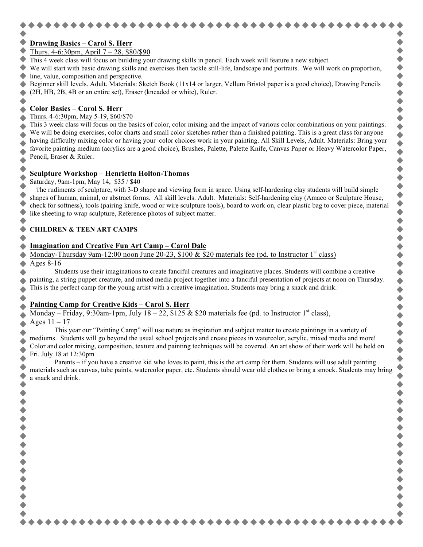# **Drawing Basics – Carol S. Herr**

- Thurs. 4-6:30pm, April 7 28, \$80/\$90
- This 4 week class will focus on building your drawing skills in pencil. Each week will feature a new subject.

We will start with basic drawing skills and exercises then tackle still-life, landscape and portraits. We will work on proportion, line, value, composition and perspective.

Beginner skill levels. Adult. Materials: Sketch Book (11x14 or larger, Vellum Bristol paper is a good choice), Drawing Pencils (2H, HB, 2B, 4B or an entire set), Eraser (kneaded or white), Ruler.

٠

◆◆◆◆◆

 $\dot{\bullet}$ 

 $\bullet$ 

 $\blacklozenge$ 

 $\bullet$ 

#### **Color Basics – Carol S. Herr**

#### Thurs. 4-6:30pm, May 5-19, \$60/\$70

This 3 week class will focus on the basics of color, color mixing and the impact of various color combinations on your paintings. We will be doing exercises, color charts and small color sketches rather than a finished painting. This is a great class for anyone having difficulty mixing color or having your color choices work in your painting. All Skill Levels, Adult. Materials: Bring your favorite painting medium (acrylics are a good choice), Brushes, Palette, Palette Knife, Canvas Paper or Heavy Watercolor Paper, Pencil, Eraser & Ruler.

#### **Sculpture Workshop – Henrietta Holton-Thomas**

#### Saturday, 9am-1pm, May 14, \$35 / \$40

The rudiments of sculpture, with 3-D shape and viewing form in space. Using self-hardening clay students will build simple shapes of human, animal, or abstract forms. All skill levels. Adult. Materials: Self-hardening clay (Amaco or Sculpture House, check for softness), tools (pairing knife, wood or wire sculpture tools), board to work on, clear plastic bag to cover piece, material like sheeting to wrap sculpture, Reference photos of subject matter.

#### **CHILDREN & TEEN ART CAMPS**

#### **Imagination and Creative Fun Art Camp – Carol Dale**

#### Monday-Thursday 9am-12:00 noon June 20-23, \$100 & \$20 materials fee (pd. to Instructor 1<sup>st</sup> class) Ages 8-16

Students use their imaginations to create fanciful creatures and imaginative places. Students will combine a creative painting, a string puppet creature, and mixed media project together into a fanciful presentation of projects at noon on Thursday. This is the perfect camp for the young artist with a creative imagination. Students may bring a snack and drink.

#### **Painting Camp for Creative Kids – Carol S. Herr**

Monday – Friday, 9:30am-1pm, July  $18 - 22$ , \$125 & \$20 materials fee (pd. to Instructor 1<sup>st</sup> class), Ages  $11 - 17$ 

This year our "Painting Camp" will use nature as inspiration and subject matter to create paintings in a variety of mediums. Students will go beyond the usual school projects and create pieces in watercolor, acrylic, mixed media and more! Color and color mixing, composition, texture and painting techniques will be covered. An art show of their work will be held on Fri. July 18 at 12:30pm

Parents – if you have a creative kid who loves to paint, this is the art camp for them. Students will use adult painting materials such as canvas, tube paints, watercolor paper, etc. Students should wear old clothes or bring a smock. Students may bring a snack and drink.